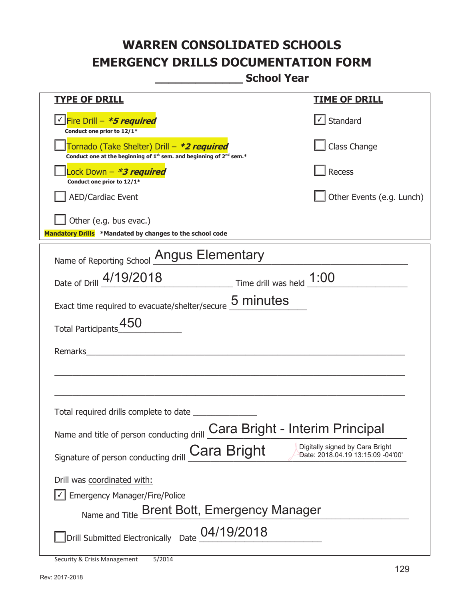## **WARREN CONSOLIDATED SCHOOLS EMERGENCY DRILLS DOCUMENTATION FORM**

**\_\_\_\_\_\_\_\_\_\_\_\_\_ School Year** 

| <u>TYPE OF DRILL</u>                                                                                                                      | <u>TIME OF DRILL</u>      |  |
|-------------------------------------------------------------------------------------------------------------------------------------------|---------------------------|--|
| V Fire Drill - *5 required<br>Conduct one prior to 12/1*                                                                                  | √ Standard                |  |
| Tornado (Take Shelter) Drill – *2 required<br>Conduct one at the beginning of 1 <sup>st</sup> sem. and beginning of 2 <sup>nd</sup> sem.* | Class Change              |  |
| Lock Down - *3 required<br>Conduct one prior to 12/1*                                                                                     | Recess                    |  |
| <b>AED/Cardiac Event</b>                                                                                                                  | Other Events (e.g. Lunch) |  |
| $\Box$ Other (e.g. bus evac.)<br>Mandatory Drills *Mandated by changes to the school code                                                 |                           |  |
| Name of Reporting School Angus Elementary                                                                                                 |                           |  |
| Date of Drill 4/19/2018 Time drill was held 1:00                                                                                          |                           |  |
| Exact time required to evacuate/shelter/secure 5 minutes                                                                                  |                           |  |
| Total Participants_450                                                                                                                    |                           |  |
| Remarks                                                                                                                                   |                           |  |
|                                                                                                                                           |                           |  |
|                                                                                                                                           |                           |  |
| Name and title of person conducting drill Cara Bright - Interim Principal                                                                 |                           |  |
| Digitally signed by Cara Bright<br>Cara Bright<br>Date: 2018.04.19 13:15:09 -04'00'<br>Signature of person conducting drill               |                           |  |
| Drill was coordinated with:                                                                                                               |                           |  |
| <b>Emergency Manager/Fire/Police</b>                                                                                                      |                           |  |
| Name and Title Brent Bott, Emergency Manager                                                                                              |                           |  |
| Drill Submitted Electronically Date 04/19/2018                                                                                            |                           |  |

Security & Crisis Management 5/2014